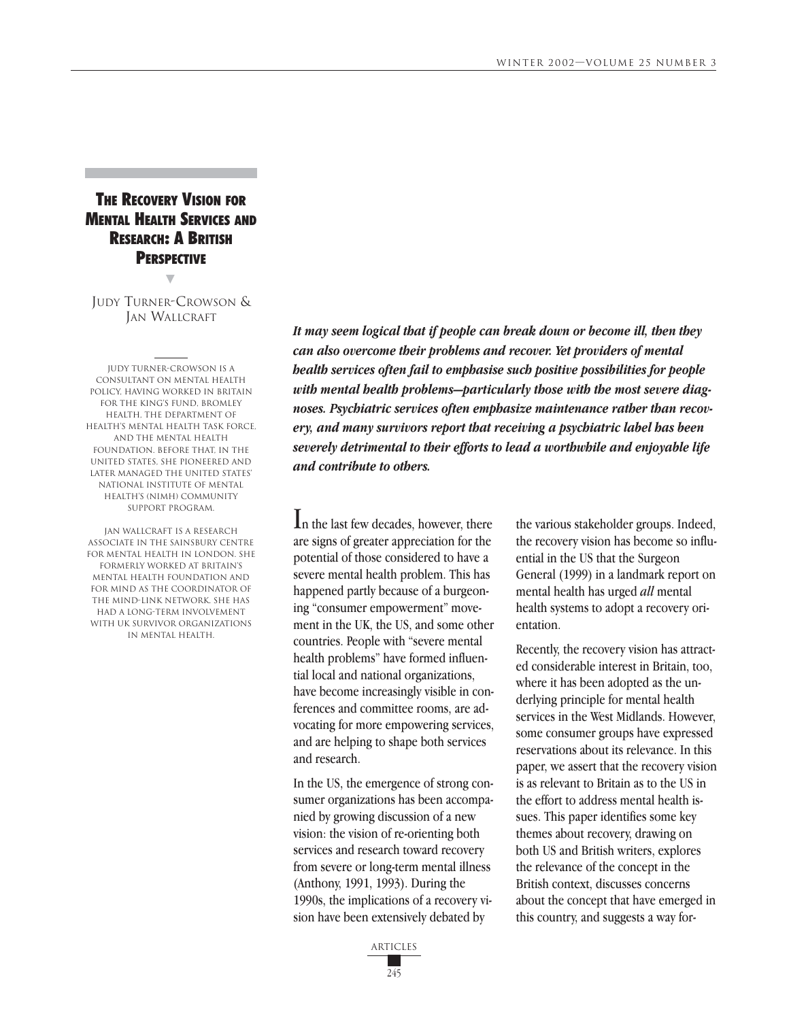# **THE RECOVERY VISION FOR** MENTAL HEALTH SERVICES AND RESEARCH: A BRITISH **PERSPECTIVE**

JUDY TURNER-CROWSON & JAN WALLCRAFT

▼

Judy Turner-Crowson is a consultant on mental health policy, having worked in Britain for the King's Fund, Bromley Health, the Department of Health's mental health task force, and the Mental Health Foundation. Before that, in the United States, she pioneered and later managed the United States' National Institute of Mental Health's (NIMH) Community Support Program.

Jan Wallcraft is a research associate in the Sainsbury Centre for Mental Health in London. She formerly worked at Britain's Mental Health Foundation and for Mind as the coordinator of the Mind-Link network. She has had a long-term involvement with UK survivor organizations in mental health.

*It may seem logical that if people can break down or become ill, then they can also overcome their problems and recover. Yet providers of mental health services often fail to emphasise such positive possibilities for people with mental health problems—particularly those with the most severe diagnoses. Psychiatric services often emphasize maintenance rather than recovery, and many survivors report that receiving a psychiatric label has been severely detrimental to their efforts to lead a worthwhile and enjoyable life and contribute to others.* 

In the last few decades, however, there are signs of greater appreciation for the potential of those considered to have a severe mental health problem. This has happened partly because of a burgeoning "consumer empowerment" movement in the UK, the US, and some other countries. People with "severe mental health problems" have formed influential local and national organizations, have become increasingly visible in conferences and committee rooms, are advocating for more empowering services, and are helping to shape both services and research.

In the US, the emergence of strong consumer organizations has been accompanied by growing discussion of a new vision: the vision of re-orienting both services and research toward recovery from severe or long-term mental illness (Anthony, 1991, 1993). During the 1990s, the implications of a recovery vision have been extensively debated by

the various stakeholder groups. Indeed, the recovery vision has become so influential in the US that the Surgeon General (1999) in a landmark report on mental health has urged *all* mental health systems to adopt a recovery orientation.

Recently, the recovery vision has attracted considerable interest in Britain, too, where it has been adopted as the underlying principle for mental health services in the West Midlands. However, some consumer groups have expressed reservations about its relevance. In this paper, we assert that the recovery vision is as relevant to Britain as to the US in the effort to address mental health issues. This paper identifies some key themes about recovery, drawing on both US and British writers, explores the relevance of the concept in the British context, discusses concerns about the concept that have emerged in this country, and suggests a way for-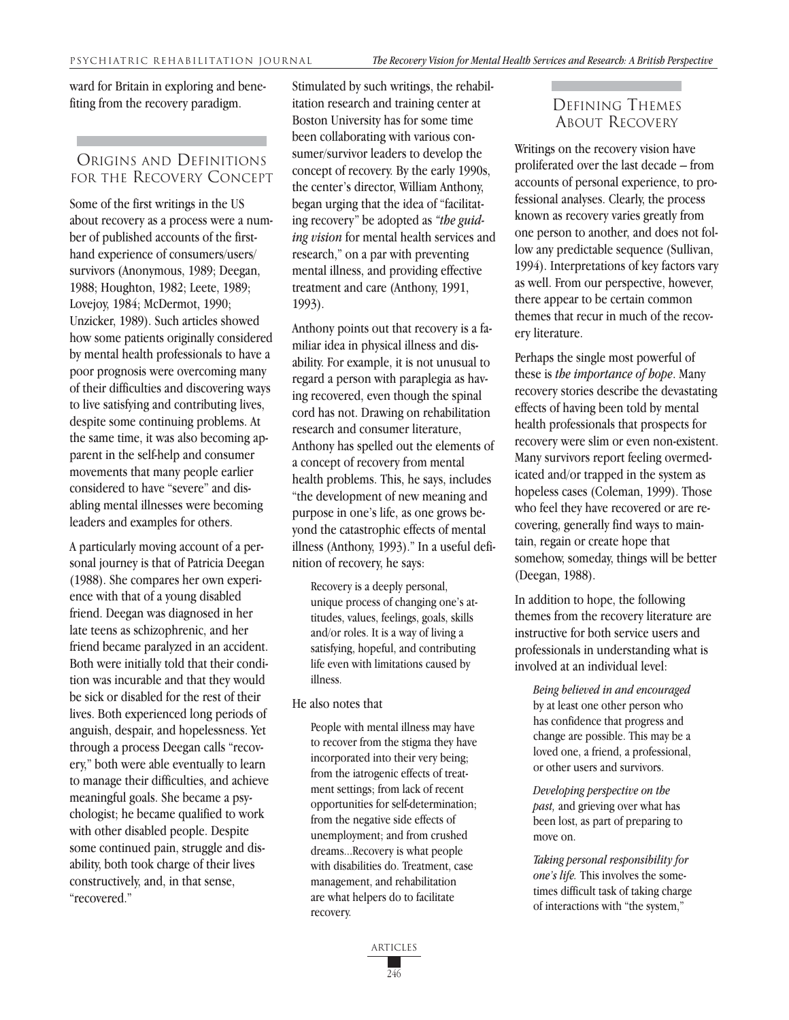ward for Britain in exploring and benefiting from the recovery paradigm.

### ORIGINS AND DEFINITIONS FOR THE RECOVERY CONCEPT

Some of the first writings in the US about recovery as a process were a number of published accounts of the firsthand experience of consumers/users/ survivors (Anonymous, 1989; Deegan, 1988; Houghton, 1982; Leete, 1989; Lovejoy, 1984; McDermot, 1990; Unzicker, 1989). Such articles showed how some patients originally considered by mental health professionals to have a poor prognosis were overcoming many of their difficulties and discovering ways to live satisfying and contributing lives, despite some continuing problems. At the same time, it was also becoming apparent in the self-help and consumer movements that many people earlier considered to have "severe" and disabling mental illnesses were becoming leaders and examples for others.

A particularly moving account of a personal journey is that of Patricia Deegan (1988). She compares her own experience with that of a young disabled friend. Deegan was diagnosed in her late teens as schizophrenic, and her friend became paralyzed in an accident. Both were initially told that their condition was incurable and that they would be sick or disabled for the rest of their lives. Both experienced long periods of anguish, despair, and hopelessness. Yet through a process Deegan calls "recovery," both were able eventually to learn to manage their difficulties, and achieve meaningful goals. She became a psychologist; he became qualified to work with other disabled people. Despite some continued pain, struggle and disability, both took charge of their lives constructively, and, in that sense, "recovered."

Stimulated by such writings, the rehabilitation research and training center at Boston University has for some time been collaborating with various consumer/survivor leaders to develop the concept of recovery. By the early 1990s, the center's director, William Anthony, began urging that the idea of "facilitating recovery" be adopted as *"the guiding vision* for mental health services and research," on a par with preventing mental illness, and providing effective treatment and care (Anthony, 1991, 1993).

Anthony points out that recovery is a familiar idea in physical illness and disability. For example, it is not unusual to regard a person with paraplegia as having recovered, even though the spinal cord has not. Drawing on rehabilitation research and consumer literature, Anthony has spelled out the elements of a concept of recovery from mental health problems. This, he says, includes "the development of new meaning and purpose in one's life, as one grows beyond the catastrophic effects of mental illness (Anthony, 1993)." In a useful definition of recovery, he says:

Recovery is a deeply personal, unique process of changing one's attitudes, values, feelings, goals, skills and/or roles. It is a way of living a satisfying, hopeful, and contributing life even with limitations caused by illness.

#### He also notes that

People with mental illness may have to recover from the stigma they have incorporated into their very being; from the iatrogenic effects of treatment settings; from lack of recent opportunities for self-determination; from the negative side effects of unemployment; and from crushed dreams...Recovery is what people with disabilities do. Treatment, case management, and rehabilitation are what helpers do to facilitate recovery.

## DEFINING THEMES ABOUT RECOVERY

Writings on the recovery vision have proliferated over the last decade – from accounts of personal experience, to professional analyses. Clearly, the process known as recovery varies greatly from one person to another, and does not follow any predictable sequence (Sullivan, 1994). Interpretations of key factors vary as well. From our perspective, however, there appear to be certain common themes that recur in much of the recovery literature.

Perhaps the single most powerful of these is *the importance of hope*. Many recovery stories describe the devastating effects of having been told by mental health professionals that prospects for recovery were slim or even non-existent. Many survivors report feeling overmedicated and/or trapped in the system as hopeless cases (Coleman, 1999). Those who feel they have recovered or are recovering, generally find ways to maintain, regain or create hope that somehow, someday, things will be better (Deegan, 1988).

In addition to hope, the following themes from the recovery literature are instructive for both service users and professionals in understanding what is involved at an individual level:

*Being believed in and encouraged* by at least one other person who has confidence that progress and change are possible. This may be a loved one, a friend, a professional, or other users and survivors.

*Developing perspective on the past,* and grieving over what has been lost, as part of preparing to move on.

*Taking personal responsibility for one's life.* This involves the sometimes difficult task of taking charge of interactions with "the system,"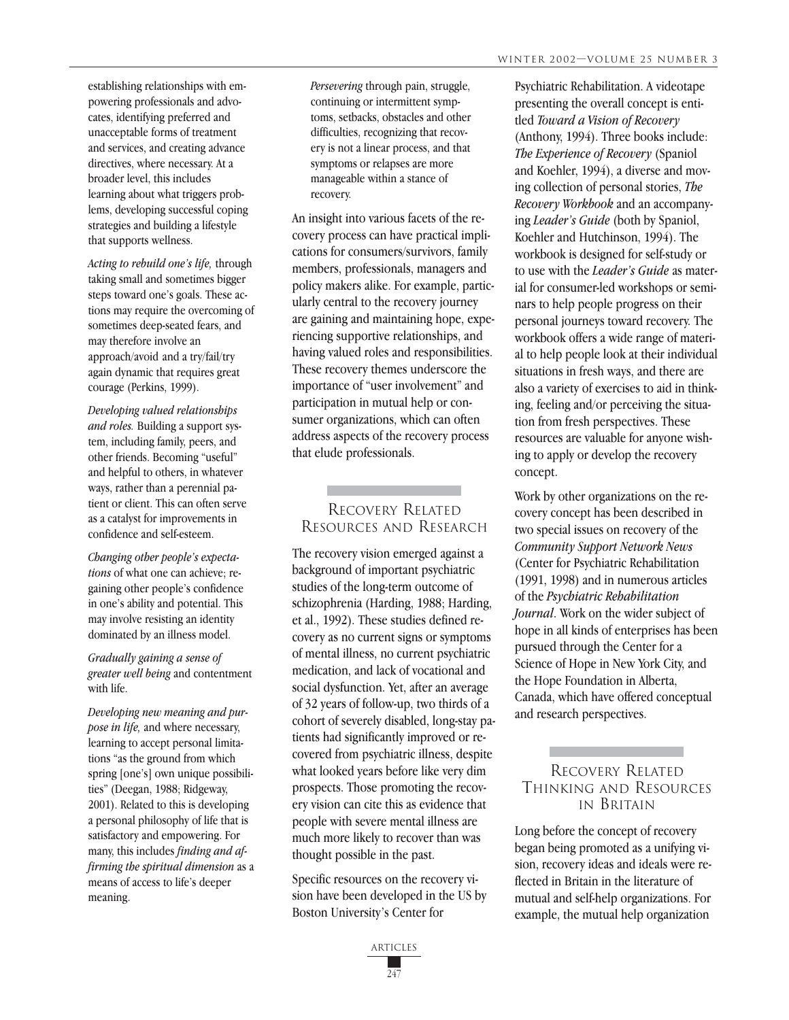establishing relationships with empowering professionals and advocates, identifying preferred and unacceptable forms of treatment and services, and creating advance directives, where necessary. At a broader level, this includes learning about what triggers problems, developing successful coping strategies and building a lifestyle that supports wellness.

*Acting to rebuild one's life,* through taking small and sometimes bigger steps toward one's goals. These actions may require the overcoming of sometimes deep-seated fears, and may therefore involve an approach/avoid and a try/fail/try again dynamic that requires great courage (Perkins, 1999).

*Developing valued relationships and roles.* Building a support system, including family, peers, and other friends. Becoming "useful" and helpful to others, in whatever ways, rather than a perennial patient or client. This can often serve as a catalyst for improvements in confidence and self-esteem.

*Changing other people's expectations* of what one can achieve; regaining other people's confidence in one's ability and potential. This may involve resisting an identity dominated by an illness model.

*Gradually gaining a sense of greater well being* and contentment with life.

*Developing new meaning and purpose in life,* and where necessary, learning to accept personal limitations "as the ground from which spring [one's] own unique possibilities" (Deegan, 1988; Ridgeway, 2001). Related to this is developing a personal philosophy of life that is satisfactory and empowering. For many, this includes *finding and affirming the spiritual dimension* as a means of access to life's deeper meaning.

*Persevering* through pain, struggle, continuing or intermittent symptoms, setbacks, obstacles and other difficulties, recognizing that recovery is not a linear process, and that symptoms or relapses are more manageable within a stance of recovery.

An insight into various facets of the recovery process can have practical implications for consumers/survivors, family members, professionals, managers and policy makers alike. For example, particularly central to the recovery journey are gaining and maintaining hope, experiencing supportive relationships, and having valued roles and responsibilities. These recovery themes underscore the importance of "user involvement" and participation in mutual help or consumer organizations, which can often address aspects of the recovery process that elude professionals.

## RECOVERY RELATED RESOURCES AND RESEARCH

The recovery vision emerged against a background of important psychiatric studies of the long-term outcome of schizophrenia (Harding, 1988; Harding, et al., 1992). These studies defined recovery as no current signs or symptoms of mental illness, no current psychiatric medication, and lack of vocational and social dysfunction. Yet, after an average of 32 years of follow-up, two thirds of a cohort of severely disabled, long-stay patients had significantly improved or recovered from psychiatric illness, despite what looked years before like very dim prospects. Those promoting the recovery vision can cite this as evidence that people with severe mental illness are much more likely to recover than was thought possible in the past.

Specific resources on the recovery vision have been developed in the US by Boston University's Center for

> 247 **ARTICLES**

Psychiatric Rehabilitation. A videotape presenting the overall concept is entitled *Toward a Vision of Recovery* (Anthony, 1994). Three books include: *The Experience of Recovery* (Spaniol and Koehler, 1994), a diverse and moving collection of personal stories, *The Recovery Workbook* and an accompanying *Leader's Guide* (both by Spaniol, Koehler and Hutchinson, 1994). The workbook is designed for self-study or to use with the *Leader's Guide* as material for consumer-led workshops or seminars to help people progress on their personal journeys toward recovery. The workbook offers a wide range of material to help people look at their individual situations in fresh ways, and there are also a variety of exercises to aid in thinking, feeling and/or perceiving the situation from fresh perspectives. These resources are valuable for anyone wishing to apply or develop the recovery concept.

Work by other organizations on the recovery concept has been described in two special issues on recovery of the *Community Support Network News* (Center for Psychiatric Rehabilitation (1991, 1998) and in numerous articles of the *Psychiatric Rehabilitation Journal*. Work on the wider subject of hope in all kinds of enterprises has been pursued through the Center for a Science of Hope in New York City, and the Hope Foundation in Alberta, Canada, which have offered conceptual and research perspectives.

#### RECOVERY RELATED THINKING AND RESOURCES IN BRITAIN

Long before the concept of recovery began being promoted as a unifying vision, recovery ideas and ideals were reflected in Britain in the literature of mutual and self-help organizations. For example, the mutual help organization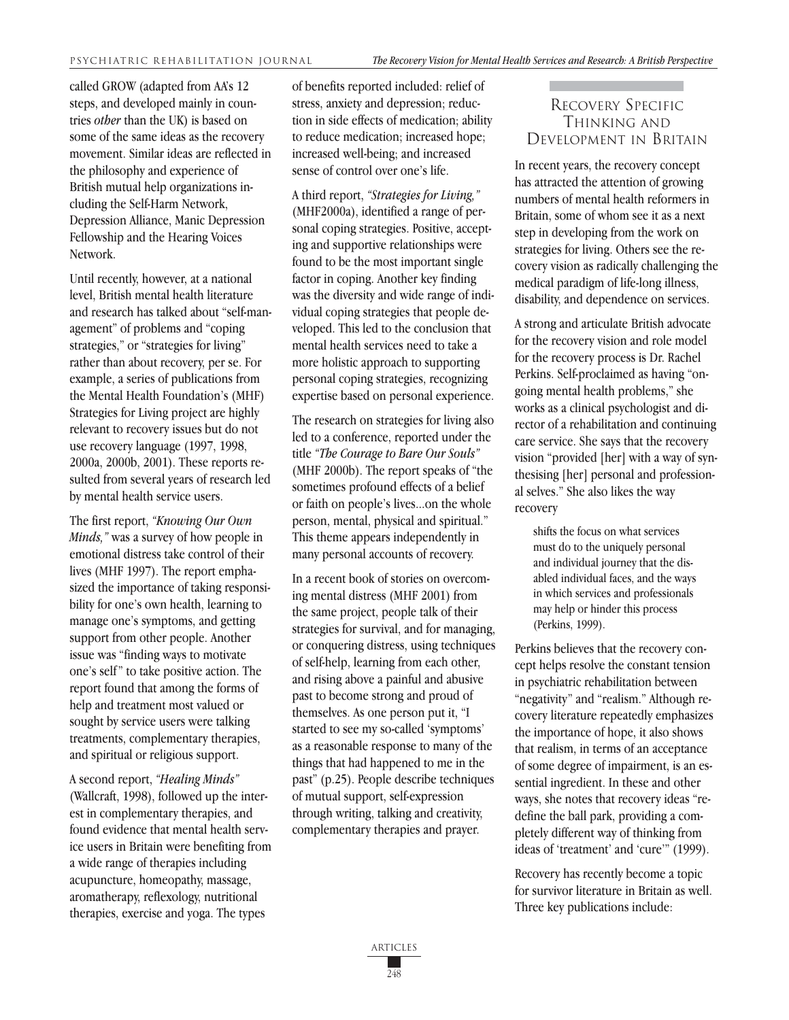called GROW (adapted from AA's 12 steps, and developed mainly in countries *other* than the UK) is based on some of the same ideas as the recovery movement. Similar ideas are reflected in the philosophy and experience of British mutual help organizations including the Self-Harm Network, Depression Alliance, Manic Depression Fellowship and the Hearing Voices Network.

Until recently, however, at a national level, British mental health literature and research has talked about "self-management" of problems and "coping strategies," or "strategies for living" rather than about recovery, per se. For example, a series of publications from the Mental Health Foundation's (MHF) Strategies for Living project are highly relevant to recovery issues but do not use recovery language (1997, 1998, 2000a, 2000b, 2001). These reports resulted from several years of research led by mental health service users.

The first report, *"Knowing Our Own Minds,"* was a survey of how people in emotional distress take control of their lives (MHF 1997). The report emphasized the importance of taking responsibility for one's own health, learning to manage one's symptoms, and getting support from other people. Another issue was "finding ways to motivate one's self" to take positive action. The report found that among the forms of help and treatment most valued or sought by service users were talking treatments, complementary therapies, and spiritual or religious support.

A second report, *"Healing Minds"* (Wallcraft, 1998), followed up the interest in complementary therapies, and found evidence that mental health service users in Britain were benefiting from a wide range of therapies including acupuncture, homeopathy, massage, aromatherapy, reflexology, nutritional therapies, exercise and yoga. The types

of benefits reported included: relief of stress, anxiety and depression; reduction in side effects of medication; ability to reduce medication; increased hope; increased well-being; and increased sense of control over one's life.

A third report, *"Strategies for Living,"* (MHF2000a), identified a range of personal coping strategies. Positive, accepting and supportive relationships were found to be the most important single factor in coping. Another key finding was the diversity and wide range of individual coping strategies that people developed. This led to the conclusion that mental health services need to take a more holistic approach to supporting personal coping strategies, recognizing expertise based on personal experience.

The research on strategies for living also led to a conference, reported under the title *"The Courage to Bare Our Souls"* (MHF 2000b). The report speaks of "the sometimes profound effects of a belief or faith on people's lives...on the whole person, mental, physical and spiritual." This theme appears independently in many personal accounts of recovery.

In a recent book of stories on overcoming mental distress (MHF 2001) from the same project, people talk of their strategies for survival, and for managing, or conquering distress, using techniques of self-help, learning from each other, and rising above a painful and abusive past to become strong and proud of themselves. As one person put it, "I started to see my so-called 'symptoms' as a reasonable response to many of the things that had happened to me in the past" (p.25). People describe techniques of mutual support, self-expression through writing, talking and creativity, complementary therapies and prayer.

## RECOVERY SPECIFIC THINKING AND DEVELOPMENT IN BRITAIN

In recent years, the recovery concept has attracted the attention of growing numbers of mental health reformers in Britain, some of whom see it as a next step in developing from the work on strategies for living. Others see the recovery vision as radically challenging the medical paradigm of life-long illness, disability, and dependence on services.

A strong and articulate British advocate for the recovery vision and role model for the recovery process is Dr. Rachel Perkins. Self-proclaimed as having "ongoing mental health problems," she works as a clinical psychologist and director of a rehabilitation and continuing care service. She says that the recovery vision "provided [her] with a way of synthesising [her] personal and professional selves." She also likes the way recovery

shifts the focus on what services must do to the uniquely personal and individual journey that the disabled individual faces, and the ways in which services and professionals may help or hinder this process (Perkins, 1999).

Perkins believes that the recovery concept helps resolve the constant tension in psychiatric rehabilitation between "negativity" and "realism." Although recovery literature repeatedly emphasizes the importance of hope, it also shows that realism, in terms of an acceptance of some degree of impairment, is an essential ingredient. In these and other ways, she notes that recovery ideas "redefine the ball park, providing a completely different way of thinking from ideas of 'treatment' and 'cure'" (1999).

Recovery has recently become a topic for survivor literature in Britain as well. Three key publications include: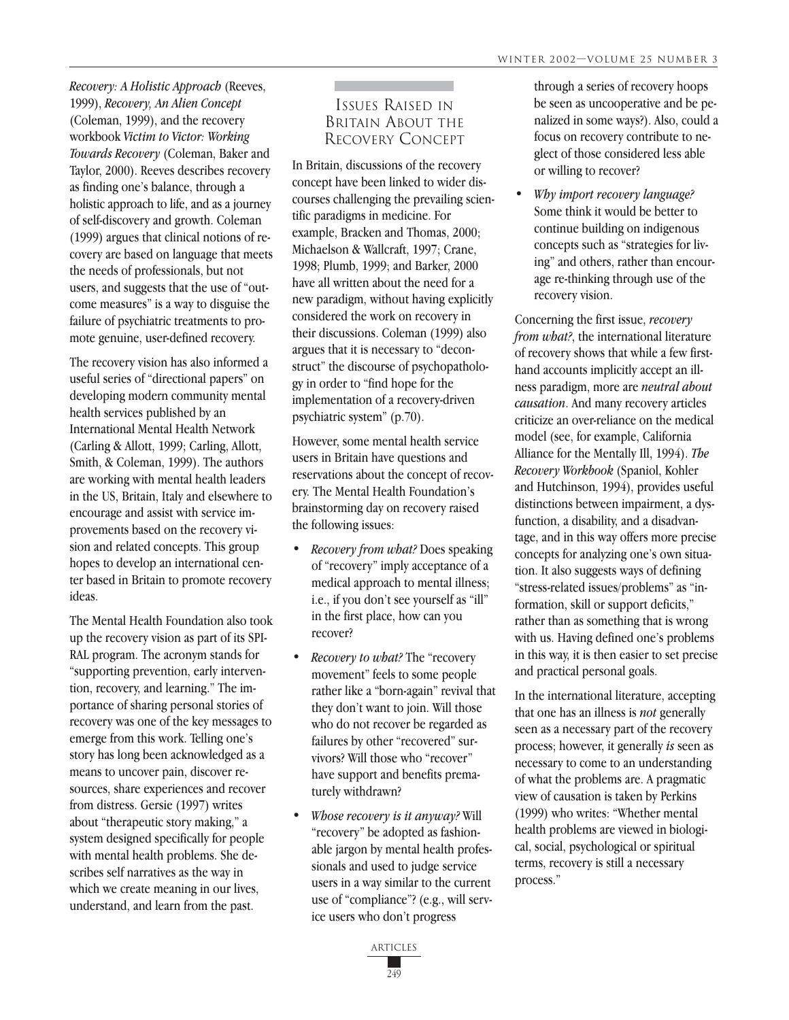*Recovery: A Holistic Approach* (Reeves, 1999), *Recovery, An Alien Concept* (Coleman, 1999), and the recovery workbook *Victim to Victor: Working Towards Recovery* (Coleman, Baker and Taylor, 2000). Reeves describes recovery as finding one's balance, through a holistic approach to life, and as a journey of self-discovery and growth. Coleman (1999) argues that clinical notions of recovery are based on language that meets the needs of professionals, but not users, and suggests that the use of "outcome measures" is a way to disguise the failure of psychiatric treatments to promote genuine, user-defined recovery.

The recovery vision has also informed a useful series of "directional papers" on developing modern community mental health services published by an International Mental Health Network (Carling & Allott, 1999; Carling, Allott, Smith, & Coleman, 1999). The authors are working with mental health leaders in the US, Britain, Italy and elsewhere to encourage and assist with service improvements based on the recovery vision and related concepts. This group hopes to develop an international center based in Britain to promote recovery ideas.

The Mental Health Foundation also took up the recovery vision as part of its SPI-RAL program. The acronym stands for "supporting prevention, early intervention, recovery, and learning." The importance of sharing personal stories of recovery was one of the key messages to emerge from this work. Telling one's story has long been acknowledged as a means to uncover pain, discover resources, share experiences and recover from distress. Gersie (1997) writes about "therapeutic story making," a system designed specifically for people with mental health problems. She describes self narratives as the way in which we create meaning in our lives, understand, and learn from the past.

## ISSUES RAISED IN BRITAIN ABOUT THE RECOVERY CONCEPT

In Britain, discussions of the recovery concept have been linked to wider discourses challenging the prevailing scientific paradigms in medicine. For example, Bracken and Thomas, 2000; Michaelson & Wallcraft, 1997; Crane, 1998; Plumb, 1999; and Barker, 2000 have all written about the need for a new paradigm, without having explicitly considered the work on recovery in their discussions. Coleman (1999) also argues that it is necessary to "deconstruct" the discourse of psychopathology in order to "find hope for the implementation of a recovery-driven psychiatric system" (p.70).

However, some mental health service users in Britain have questions and reservations about the concept of recovery. The Mental Health Foundation's brainstorming day on recovery raised the following issues:

- *• Recovery from what?* Does speaking of "recovery" imply acceptance of a medical approach to mental illness; i.e., if you don't see yourself as "ill" in the first place, how can you recover?
- *• Recovery to what?* The "recovery movement" feels to some people rather like a "born-again" revival that they don't want to join. Will those who do not recover be regarded as failures by other "recovered" survivors? Will those who "recover" have support and benefits prematurely withdrawn?
- *• Whose recovery is it anyway?* Will "recovery" be adopted as fashionable jargon by mental health professionals and used to judge service users in a way similar to the current use of "compliance"? (e.g., will service users who don't progress

through a series of recovery hoops be seen as uncooperative and be penalized in some ways?). Also, could a focus on recovery contribute to neglect of those considered less able or willing to recover?

*• Why import recovery language?* Some think it would be better to continue building on indigenous concepts such as "strategies for living" and others, rather than encourage re-thinking through use of the recovery vision.

Concerning the first issue, *recovery from what?*, the international literature of recovery shows that while a few firsthand accounts implicitly accept an illness paradigm, more are *neutral about causation*. And many recovery articles criticize an over-reliance on the medical model (see, for example, California Alliance for the Mentally Ill, 1994). *The Recovery Workbook* (Spaniol, Kohler and Hutchinson, 1994), provides useful distinctions between impairment, a dysfunction, a disability, and a disadvantage, and in this way offers more precise concepts for analyzing one's own situation. It also suggests ways of defining "stress-related issues/problems" as "information, skill or support deficits," rather than as something that is wrong with us. Having defined one's problems in this way, it is then easier to set precise and practical personal goals.

In the international literature, accepting that one has an illness is *not* generally seen as a necessary part of the recovery process; however, it generally *is* seen as necessary to come to an understanding of what the problems are. A pragmatic view of causation is taken by Perkins (1999) who writes: "Whether mental health problems are viewed in biological, social, psychological or spiritual terms, recovery is still a necessary process."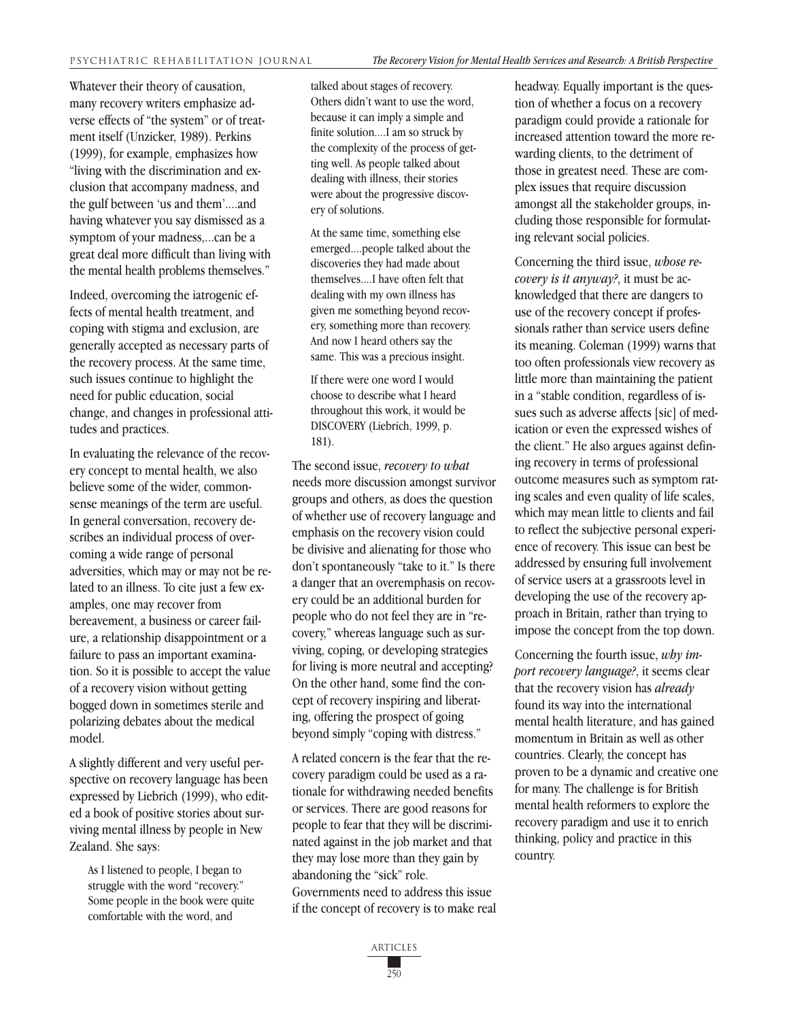Whatever their theory of causation, many recovery writers emphasize adverse effects of "the system" or of treatment itself (Unzicker, 1989). Perkins (1999), for example, emphasizes how "living with the discrimination and exclusion that accompany madness, and the gulf between 'us and them'....and having whatever you say dismissed as a symptom of your madness,...can be a great deal more difficult than living with the mental health problems themselves."

Indeed, overcoming the iatrogenic effects of mental health treatment, and coping with stigma and exclusion, are generally accepted as necessary parts of the recovery process. At the same time, such issues continue to highlight the need for public education, social change, and changes in professional attitudes and practices.

In evaluating the relevance of the recovery concept to mental health, we also believe some of the wider, commonsense meanings of the term are useful. In general conversation, recovery describes an individual process of overcoming a wide range of personal adversities, which may or may not be related to an illness. To cite just a few examples, one may recover from bereavement, a business or career failure, a relationship disappointment or a failure to pass an important examination. So it is possible to accept the value of a recovery vision without getting bogged down in sometimes sterile and polarizing debates about the medical model.

A slightly different and very useful perspective on recovery language has been expressed by Liebrich (1999), who edited a book of positive stories about surviving mental illness by people in New Zealand. She says:

As I listened to people, I began to struggle with the word "recovery." Some people in the book were quite comfortable with the word, and

talked about stages of recovery. Others didn't want to use the word, because it can imply a simple and finite solution....I am so struck by the complexity of the process of getting well. As people talked about dealing with illness, their stories were about the progressive discovery of solutions.

At the same time, something else emerged....people talked about the discoveries they had made about themselves....I have often felt that dealing with my own illness has given me something beyond recovery, something more than recovery. And now I heard others say the same. This was a precious insight.

If there were one word I would choose to describe what I heard throughout this work, it would be DISCOVERY (Liebrich, 1999, p. 181).

The second issue, *recovery to what* needs more discussion amongst survivor groups and others, as does the question of whether use of recovery language and emphasis on the recovery vision could be divisive and alienating for those who don't spontaneously "take to it." Is there a danger that an overemphasis on recovery could be an additional burden for people who do not feel they are in "recovery," whereas language such as surviving, coping, or developing strategies for living is more neutral and accepting? On the other hand, some find the concept of recovery inspiring and liberating, offering the prospect of going beyond simply "coping with distress."

A related concern is the fear that the recovery paradigm could be used as a rationale for withdrawing needed benefits or services. There are good reasons for people to fear that they will be discriminated against in the job market and that they may lose more than they gain by abandoning the "sick" role. Governments need to address this issue if the concept of recovery is to make real headway. Equally important is the question of whether a focus on a recovery paradigm could provide a rationale for increased attention toward the more rewarding clients, to the detriment of those in greatest need. These are complex issues that require discussion amongst all the stakeholder groups, including those responsible for formulating relevant social policies.

Concerning the third issue, *whose recovery is it anyway?*, it must be acknowledged that there are dangers to use of the recovery concept if professionals rather than service users define its meaning. Coleman (1999) warns that too often professionals view recovery as little more than maintaining the patient in a "stable condition, regardless of issues such as adverse affects [sic] of medication or even the expressed wishes of the client." He also argues against defining recovery in terms of professional outcome measures such as symptom rating scales and even quality of life scales, which may mean little to clients and fail to reflect the subjective personal experience of recovery. This issue can best be addressed by ensuring full involvement of service users at a grassroots level in developing the use of the recovery approach in Britain, rather than trying to impose the concept from the top down.

Concerning the fourth issue, *why import recovery language?*, it seems clear that the recovery vision has *already* found its way into the international mental health literature, and has gained momentum in Britain as well as other countries. Clearly, the concept has proven to be a dynamic and creative one for many. The challenge is for British mental health reformers to explore the recovery paradigm and use it to enrich thinking, policy and practice in this country.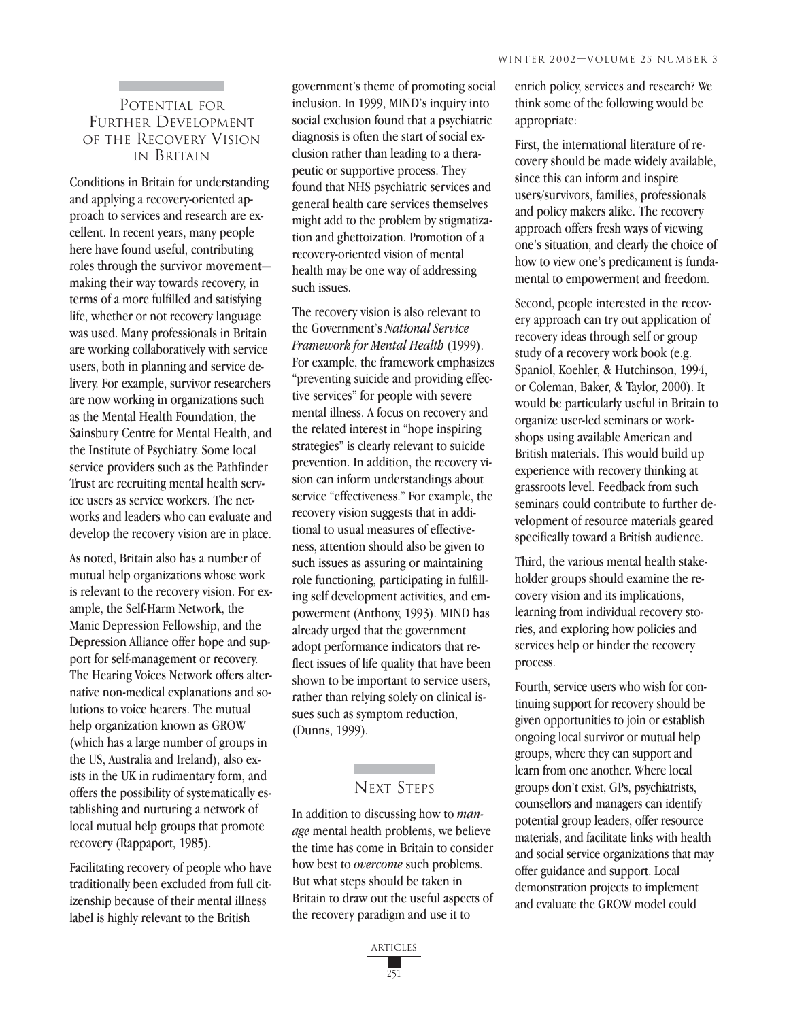## POTENTIAL FOR FURTHER DEVELOPMENT OF THE RECOVERY VISION IN BRITAIN

Conditions in Britain for understanding and applying a recovery-oriented approach to services and research are excellent. In recent years, many people here have found useful, contributing roles through the survivor movement making their way towards recovery, in terms of a more fulfilled and satisfying life, whether or not recovery language was used. Many professionals in Britain are working collaboratively with service users, both in planning and service delivery. For example, survivor researchers are now working in organizations such as the Mental Health Foundation, the Sainsbury Centre for Mental Health, and the Institute of Psychiatry. Some local service providers such as the Pathfinder Trust are recruiting mental health service users as service workers. The networks and leaders who can evaluate and develop the recovery vision are in place.

As noted, Britain also has a number of mutual help organizations whose work is relevant to the recovery vision. For example, the Self-Harm Network, the Manic Depression Fellowship, and the Depression Alliance offer hope and support for self-management or recovery. The Hearing Voices Network offers alternative non-medical explanations and solutions to voice hearers. The mutual help organization known as GROW (which has a large number of groups in the US, Australia and Ireland), also exists in the UK in rudimentary form, and offers the possibility of systematically establishing and nurturing a network of local mutual help groups that promote recovery (Rappaport, 1985).

Facilitating recovery of people who have traditionally been excluded from full citizenship because of their mental illness label is highly relevant to the British

government's theme of promoting social inclusion. In 1999, MIND's inquiry into social exclusion found that a psychiatric diagnosis is often the start of social exclusion rather than leading to a therapeutic or supportive process. They found that NHS psychiatric services and general health care services themselves might add to the problem by stigmatization and ghettoization. Promotion of a recovery-oriented vision of mental health may be one way of addressing such issues.

The recovery vision is also relevant to the Government's *National Service Framework for Mental Health* (1999). For example, the framework emphasizes "preventing suicide and providing effective services" for people with severe mental illness. A focus on recovery and the related interest in "hope inspiring strategies" is clearly relevant to suicide prevention. In addition, the recovery vision can inform understandings about service "effectiveness." For example, the recovery vision suggests that in additional to usual measures of effectiveness, attention should also be given to such issues as assuring or maintaining role functioning, participating in fulfilling self development activities, and empowerment (Anthony, 1993). MIND has already urged that the government adopt performance indicators that reflect issues of life quality that have been shown to be important to service users, rather than relying solely on clinical issues such as symptom reduction, (Dunns, 1999).

## NEXT STEPS

In addition to discussing how to *manage* mental health problems, we believe the time has come in Britain to consider how best to *overcome* such problems. But what steps should be taken in Britain to draw out the useful aspects of the recovery paradigm and use it to

enrich policy, services and research? We think some of the following would be appropriate:

First, the international literature of recovery should be made widely available, since this can inform and inspire users/survivors, families, professionals and policy makers alike. The recovery approach offers fresh ways of viewing one's situation, and clearly the choice of how to view one's predicament is fundamental to empowerment and freedom.

Second, people interested in the recovery approach can try out application of recovery ideas through self or group study of a recovery work book (e.g. Spaniol, Koehler, & Hutchinson, 1994, or Coleman, Baker, & Taylor, 2000). It would be particularly useful in Britain to organize user-led seminars or workshops using available American and British materials. This would build up experience with recovery thinking at grassroots level. Feedback from such seminars could contribute to further development of resource materials geared specifically toward a British audience.

Third, the various mental health stakeholder groups should examine the recovery vision and its implications, learning from individual recovery stories, and exploring how policies and services help or hinder the recovery process.

Fourth, service users who wish for continuing support for recovery should be given opportunities to join or establish ongoing local survivor or mutual help groups, where they can support and learn from one another. Where local groups don't exist, GPs, psychiatrists, counsellors and managers can identify potential group leaders, offer resource materials, and facilitate links with health and social service organizations that may offer guidance and support. Local demonstration projects to implement and evaluate the GROW model could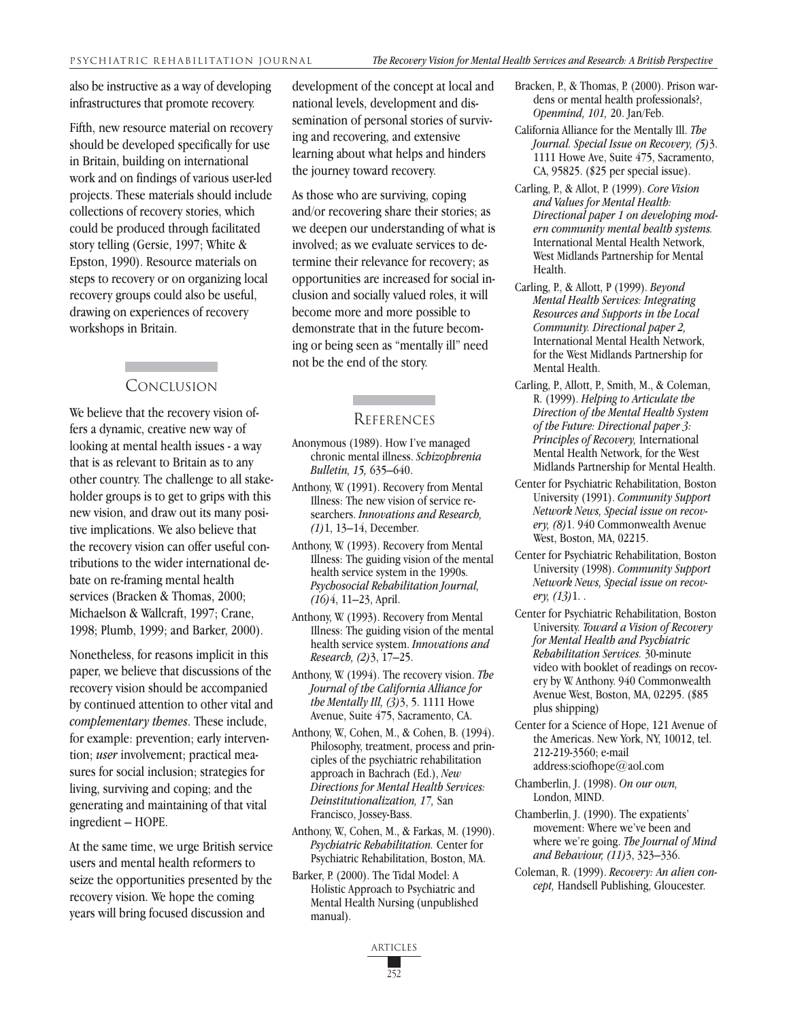also be instructive as a way of developing infrastructures that promote recovery.

Fifth, new resource material on recovery should be developed specifically for use in Britain, building on international work and on findings of various user-led projects. These materials should include collections of recovery stories, which could be produced through facilitated story telling (Gersie, 1997; White & Epston, 1990). Resource materials on steps to recovery or on organizing local recovery groups could also be useful, drawing on experiences of recovery workshops in Britain.

#### CONCLUSION

We believe that the recovery vision offers a dynamic, creative new way of looking at mental health issues - a way that is as relevant to Britain as to any other country. The challenge to all stakeholder groups is to get to grips with this new vision, and draw out its many positive implications. We also believe that the recovery vision can offer useful contributions to the wider international debate on re-framing mental health services (Bracken & Thomas, 2000; Michaelson & Wallcraft, 1997; Crane, 1998; Plumb, 1999; and Barker, 2000).

Nonetheless, for reasons implicit in this paper, we believe that discussions of the recovery vision should be accompanied by continued attention to other vital and *complementary themes*. These include, for example: prevention; early intervention; *user* involvement; practical measures for social inclusion; strategies for living, surviving and coping; and the generating and maintaining of that vital ingredient – HOPE.

At the same time, we urge British service users and mental health reformers to seize the opportunities presented by the recovery vision. We hope the coming years will bring focused discussion and

development of the concept at local and national levels, development and dissemination of personal stories of surviving and recovering, and extensive learning about what helps and hinders the journey toward recovery.

As those who are surviving, coping and/or recovering share their stories; as we deepen our understanding of what is involved; as we evaluate services to determine their relevance for recovery; as opportunities are increased for social inclusion and socially valued roles, it will become more and more possible to demonstrate that in the future becoming or being seen as "mentally ill" need not be the end of the story.

#### **REFERENCES**

- Anonymous (1989). How I've managed chronic mental illness. *Schizophrenia Bulletin, 15,* 635–640.
- Anthony, W. (1991). Recovery from Mental Illness: The new vision of service researchers. *Innovations and Research, (1)*1, 13–14, December.
- Anthony, W. (1993). Recovery from Mental Illness: The guiding vision of the mental health service system in the 1990s. *Psychosocial Rehabilitation Journal, (16)*4, 11–23, April.
- Anthony, W. (1993). Recovery from Mental Illness: The guiding vision of the mental health service system. *Innovations and Research, (2)*3, 17–25.
- Anthony, W. (1994). The recovery vision. *The Journal of the California Alliance for the Mentally Ill, (3)*3, 5. 1111 Howe Avenue, Suite 475, Sacramento, CA.
- Anthony, W., Cohen, M., & Cohen, B. (1994). Philosophy, treatment, process and principles of the psychiatric rehabilitation approach in Bachrach (Ed.), *New Directions for Mental Health Services: Deinstitutionalization, 17,* San Francisco, Jossey-Bass.
- Anthony, W., Cohen, M., & Farkas, M. (1990). *Psychiatric Rehabilitation.* Center for Psychiatric Rehabilitation, Boston, MA.
- Barker, P. (2000). The Tidal Model: A Holistic Approach to Psychiatric and Mental Health Nursing (unpublished manual).
- Bracken, P., & Thomas, P. (2000). Prison wardens or mental health professionals?, *Openmind, 101,* 20. Jan/Feb.
- California Alliance for the Mentally Ill. *The Journal. Special Issue on Recovery, (5)*3. 1111 Howe Ave, Suite 475, Sacramento, CA, 95825. (\$25 per special issue).
- Carling, P., & Allot, P. (1999). *Core Vision and Values for Mental Health: Directional paper 1 on developing modern community mental health systems.* International Mental Health Network, West Midlands Partnership for Mental Health.
- Carling, P., & Allott, P (1999). *Beyond Mental Health Services: Integrating Resources and Supports in the Local Community. Directional paper 2,* International Mental Health Network, for the West Midlands Partnership for Mental Health.
- Carling, P., Allott, P., Smith, M., & Coleman, R. (1999). *Helping to Articulate the Direction of the Mental Health System of the Future: Directional paper 3: Principles of Recovery,* International Mental Health Network, for the West Midlands Partnership for Mental Health.
- Center for Psychiatric Rehabilitation, Boston University (1991). *Community Support Network News, Special issue on recovery, (8)*1. 940 Commonwealth Avenue West, Boston, MA, 02215.
- Center for Psychiatric Rehabilitation, Boston University (1998). *Community Support Network News, Special issue on recovery, (13)*1. .
- Center for Psychiatric Rehabilitation, Boston University. *Toward a Vision of Recovery for Mental Health and Psychiatric Rehabilitation Services.* 30-minute video with booklet of readings on recovery by W. Anthony. 940 Commonwealth Avenue West, Boston, MA, 02295. (\$85 plus shipping)
- Center for a Science of Hope, 121 Avenue of the Americas. New York, NY, 10012, tel. 212-219-3560; e-mail address:sciofhope@aol.com
- Chamberlin, J. (1998). *On our own,* London, MIND.
- Chamberlin, J. (1990). The expatients' movement: Where we've been and where we're going. *The Journal of Mind and Behaviour, (11)*3, 323–336.
- Coleman, R. (1999). *Recovery: An alien concept,* Handsell Publishing, Gloucester.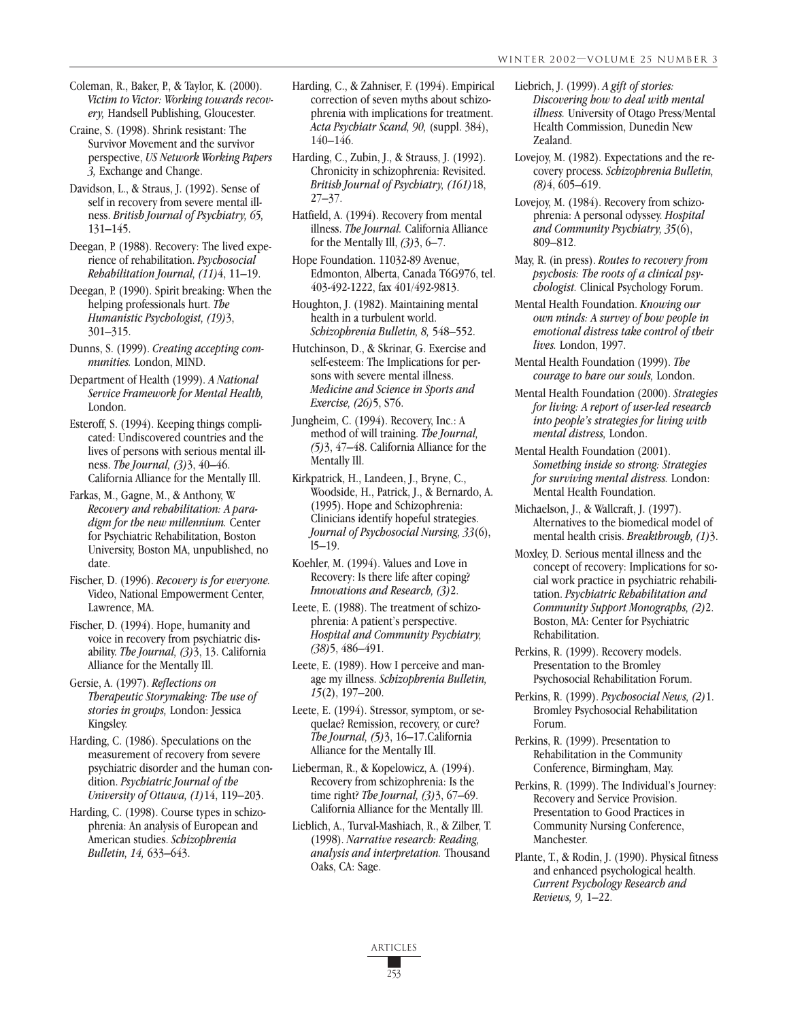Craine, S. (1998). Shrink resistant: The Survivor Movement and the survivor perspective, *US Network Working Papers 3,* Exchange and Change.

Davidson, L., & Straus, J. (1992). Sense of self in recovery from severe mental illness. *British Journal of Psychiatry, 65,* 131–145.

Deegan, P. (1988). Recovery: The lived experience of rehabilitation. *Psychosocial Rehabilitation Journal, (11)*4, 11–19.

Deegan, P. (1990). Spirit breaking: When the helping professionals hurt. *The Humanistic Psychologist, (19)*3, 301–315.

Dunns, S. (1999). *Creating accepting communities.* London, MIND.

Department of Health (1999). *A National Service Framework for Mental Health,* London.

Esteroff, S. (1994). Keeping things complicated: Undiscovered countries and the lives of persons with serious mental illness. *The Journal, (3)*3, 40–46. California Alliance for the Mentally Ill.

Farkas, M., Gagne, M., & Anthony, W. *Recovery and rehabilitation: A paradigm for the new millennium.* Center for Psychiatric Rehabilitation, Boston University, Boston MA, unpublished, no date.

Fischer, D. (1996). *Recovery is for everyone.* Video, National Empowerment Center, Lawrence, MA.

Fischer, D. (1994). Hope, humanity and voice in recovery from psychiatric disability. *The Journal, (3)*3, 13. California Alliance for the Mentally Ill.

Gersie, A. (1997). *Reflections on Therapeutic Storymaking: The use of stories in groups,* London: Jessica Kingsley.

Harding, C. (1986). Speculations on the measurement of recovery from severe psychiatric disorder and the human condition. *Psychiatric Journal of the University of Ottawa, (1)*14, 119–203.

Harding, C. (1998). Course types in schizophrenia: An analysis of European and American studies. *Schizophrenia Bulletin, 14,* 633–643.

Harding, C., & Zahniser, F. (1994). Empirical correction of seven myths about schizophrenia with implications for treatment. *Acta Psychiatr Scand, 90,* (suppl. 384), 140–146.

Harding, C., Zubin, J., & Strauss, J. (1992). Chronicity in schizophrenia: Revisited. *British Journal of Psychiatry, (161)*18, 27–37.

Hatfield, A. (1994). Recovery from mental illness. *The Journal.* California Alliance for the Mentally Ill, *(3)*3, 6–7.

Hope Foundation. 11032-89 Avenue, Edmonton, Alberta, Canada T6G976, tel. 403-492-1222, fax 401/492-9813.

Houghton, J. (1982). Maintaining mental health in a turbulent world. *Schizophrenia Bulletin, 8,* 548–552.

Hutchinson, D., & Skrinar, G. Exercise and self-esteem: The Implications for persons with severe mental illness. *Medicine and Science in Sports and Exercise, (26)*5, S76.

Jungheim, C. (1994). Recovery, Inc.: A method of will training. *The Journal, (5)*3, 47–48. California Alliance for the Mentally Ill.

Kirkpatrick, H., Landeen, J., Bryne, C., Woodside, H., Patrick, J., & Bernardo, A. (1995). Hope and Schizophrenia: Clinicians identify hopeful strategies. *Journal of Psychosocial Nursing, 33*(6), l5–19.

Koehler, M. (1994). Values and Love in Recovery: Is there life after coping? *Innovations and Research, (3)*2.

Leete, E. (1988). The treatment of schizophrenia: A patient's perspective. *Hospital and Community Psychiatry, (38)*5, 486–491.

Leete, E. (1989). How I perceive and manage my illness. *Schizophrenia Bulletin, 15*(2), 197–200.

Leete, E. (1994). Stressor, symptom, or sequelae? Remission, recovery, or cure? *The Journal, (5)*3, 16–17.California Alliance for the Mentally Ill.

Lieberman, R., & Kopelowicz, A. (1994). Recovery from schizophrenia: Is the time right? *The Journal, (3)*3, 67–69. California Alliance for the Mentally Ill.

Lieblich, A., Turval-Mashiach, R., & Zilber, T. (1998). *Narrative research: Reading, analysis and interpretation.* Thousand Oaks, CA: Sage.

- Liebrich, J. (1999). *A gift of stories: Discovering how to deal with mental illness.* University of Otago Press/Mental Health Commission, Dunedin New Zealand.
- Lovejoy, M. (1982). Expectations and the recovery process. *Schizophrenia Bulletin, (8)*4, 605–619.
- Lovejoy, M. (1984). Recovery from schizophrenia: A personal odyssey. *Hospital and Community Psychiatry, 35*(6), 809–812.
- May, R. (in press). *Routes to recovery from psychosis: The roots of a clinical psychologist.* Clinical Psychology Forum.
- Mental Health Foundation. *Knowing our own minds: A survey of how people in emotional distress take control of their lives.* London, 1997.
- Mental Health Foundation (1999). *The courage to bare our souls,* London.
- Mental Health Foundation (2000). *Strategies for living: A report of user-led research into people's strategies for living with mental distress,* London.

Mental Health Foundation (2001). *Something inside so strong: Strategies for surviving mental distress.* London: Mental Health Foundation.

- Michaelson, J., & Wallcraft, J. (1997). Alternatives to the biomedical model of mental health crisis. *Breakthrough, (1)*3.
- Moxley, D. Serious mental illness and the concept of recovery: Implications for social work practice in psychiatric rehabilitation. *Psychiatric Rehabilitation and Community Support Monographs, (2)*2. Boston, MA: Center for Psychiatric Rehabilitation.
- Perkins, R. (1999). Recovery models. Presentation to the Bromley Psychosocial Rehabilitation Forum.
- Perkins, R. (1999). *Psychosocial News, (2)*1. Bromley Psychosocial Rehabilitation Forum.
- Perkins, R. (1999). Presentation to Rehabilitation in the Community Conference, Birmingham, May.
- Perkins, R. (1999). The Individual's Journey: Recovery and Service Provision. Presentation to Good Practices in Community Nursing Conference, Manchester.
- Plante, T., & Rodin, J. (1990). Physical fitness and enhanced psychological health. *Current Psychology Research and Reviews, 9,* 1–22.